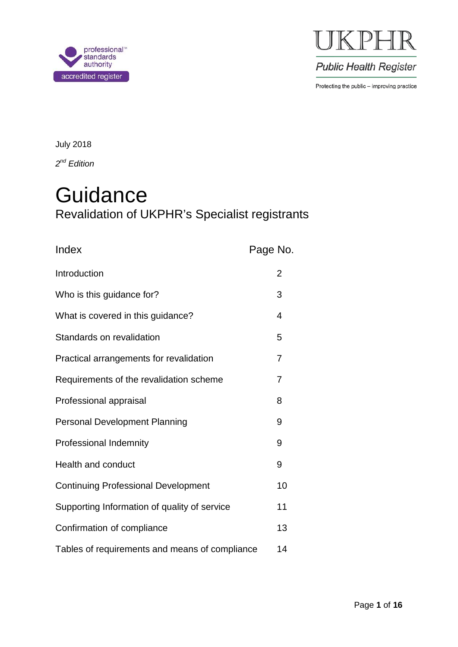



**Public Health Register** 

Protecting the public - improving practice

July 2018

*2nd Edition*

# **Guidance** Revalidation of UKPHR's Specialist registrants

| Index                                          | Page No.       |
|------------------------------------------------|----------------|
| Introduction                                   | $\overline{2}$ |
| Who is this guidance for?                      | 3              |
| What is covered in this guidance?              | 4              |
| Standards on revalidation                      | 5              |
| Practical arrangements for revalidation        | $\overline{7}$ |
| Requirements of the revalidation scheme        | 7              |
| Professional appraisal                         | 8              |
| <b>Personal Development Planning</b>           | 9              |
| Professional Indemnity                         | 9              |
| Health and conduct                             | 9              |
| <b>Continuing Professional Development</b>     | 10             |
| Supporting Information of quality of service   | 11             |
| Confirmation of compliance                     | 13             |
| Tables of requirements and means of compliance | 14             |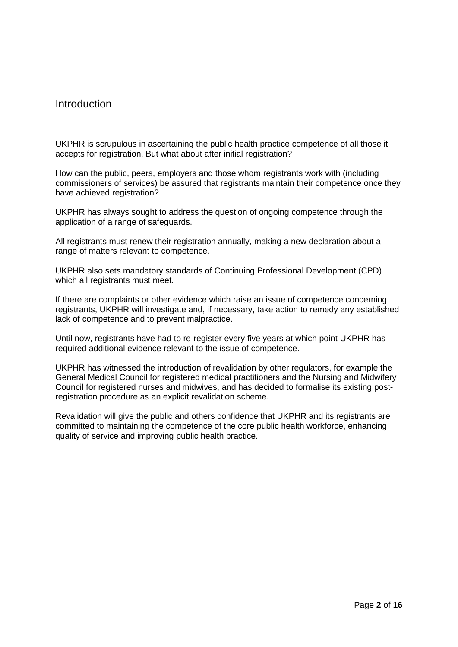## Introduction

UKPHR is scrupulous in ascertaining the public health practice competence of all those it accepts for registration. But what about after initial registration?

How can the public, peers, employers and those whom registrants work with (including commissioners of services) be assured that registrants maintain their competence once they have achieved registration?

UKPHR has always sought to address the question of ongoing competence through the application of a range of safeguards.

All registrants must renew their registration annually, making a new declaration about a range of matters relevant to competence.

UKPHR also sets mandatory standards of Continuing Professional Development (CPD) which all registrants must meet.

If there are complaints or other evidence which raise an issue of competence concerning registrants, UKPHR will investigate and, if necessary, take action to remedy any established lack of competence and to prevent malpractice.

Until now, registrants have had to re-register every five years at which point UKPHR has required additional evidence relevant to the issue of competence.

UKPHR has witnessed the introduction of revalidation by other regulators, for example the General Medical Council for registered medical practitioners and the Nursing and Midwifery Council for registered nurses and midwives, and has decided to formalise its existing postregistration procedure as an explicit revalidation scheme.

Revalidation will give the public and others confidence that UKPHR and its registrants are committed to maintaining the competence of the core public health workforce, enhancing quality of service and improving public health practice.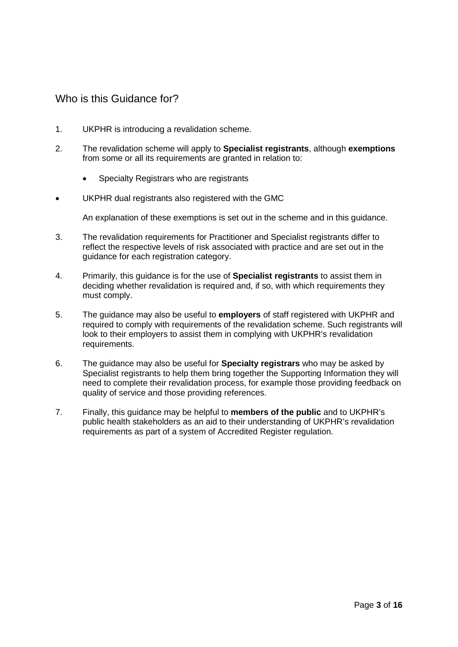## Who is this Guidance for?

- 1. UKPHR is introducing a revalidation scheme.
- 2. The revalidation scheme will apply to **Specialist registrants**, although **exemptions** from some or all its requirements are granted in relation to:
	- Specialty Registrars who are registrants
- UKPHR dual registrants also registered with the GMC

An explanation of these exemptions is set out in the scheme and in this guidance.

- 3. The revalidation requirements for Practitioner and Specialist registrants differ to reflect the respective levels of risk associated with practice and are set out in the guidance for each registration category.
- 4. Primarily, this guidance is for the use of **Specialist registrants** to assist them in deciding whether revalidation is required and, if so, with which requirements they must comply.
- 5. The guidance may also be useful to **employers** of staff registered with UKPHR and required to comply with requirements of the revalidation scheme. Such registrants will look to their employers to assist them in complying with UKPHR's revalidation requirements.
- 6. The guidance may also be useful for **Specialty registrars** who may be asked by Specialist registrants to help them bring together the Supporting Information they will need to complete their revalidation process, for example those providing feedback on quality of service and those providing references.
- 7. Finally, this guidance may be helpful to **members of the public** and to UKPHR's public health stakeholders as an aid to their understanding of UKPHR's revalidation requirements as part of a system of Accredited Register regulation.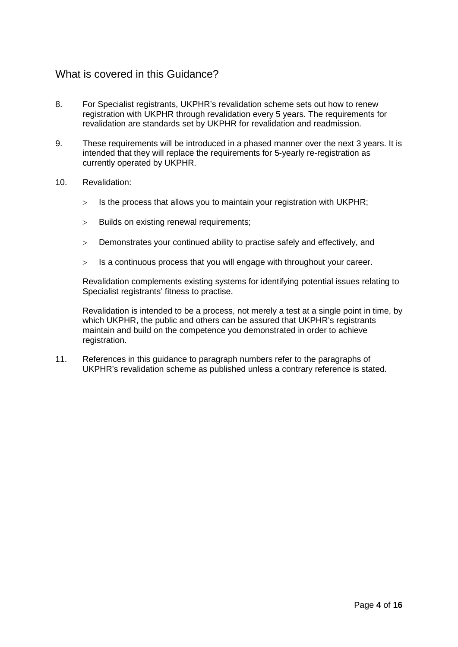## What is covered in this Guidance?

- 8. For Specialist registrants, UKPHR's revalidation scheme sets out how to renew registration with UKPHR through revalidation every 5 years. The requirements for revalidation are standards set by UKPHR for revalidation and readmission.
- 9. These requirements will be introduced in a phased manner over the next 3 years. It is intended that they will replace the requirements for 5-yearly re-registration as currently operated by UKPHR.
- 10. Revalidation:
	- $>$  Is the process that allows you to maintain your registration with UKPHR;
	- > Builds on existing renewal requirements;
	- > Demonstrates your continued ability to practise safely and effectively, and
	- > Is a continuous process that you will engage with throughout your career.

Revalidation complements existing systems for identifying potential issues relating to Specialist registrants' fitness to practise.

Revalidation is intended to be a process, not merely a test at a single point in time, by which UKPHR, the public and others can be assured that UKPHR's registrants maintain and build on the competence you demonstrated in order to achieve registration.

11. References in this guidance to paragraph numbers refer to the paragraphs of UKPHR's revalidation scheme as published unless a contrary reference is stated.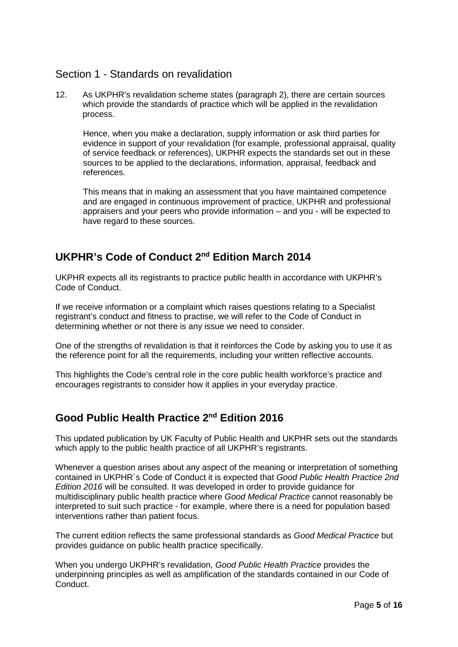## Section 1 - Standards on revalidation

12. As UKPHR's revalidation scheme states (paragraph 2), there are certain sources which provide the standards of practice which will be applied in the revalidation process.

Hence, when you make a declaration, supply information or ask third parties for evidence in support of your revalidation (for example, professional appraisal, quality of service feedback or references), UKPHR expects the standards set out in these sources to be applied to the declarations, information, appraisal, feedback and references.

This means that in making an assessment that you have maintained competence and are engaged in continuous improvement of practice, UKPHR and professional appraisers and your peers who provide information – and you - will be expected to have regard to these sources.

# **UKPHR's Code of Conduct 2nd Edition March 2014**

UKPHR expects all its registrants to practice public health in accordance with UKPHR's Code of Conduct.

If we receive information or a complaint which raises questions relating to a Specialist registrant's conduct and fitness to practise, we will refer to the Code of Conduct in determining whether or not there is any issue we need to consider.

One of the strengths of revalidation is that it reinforces the Code by asking you to use it as the reference point for all the requirements, including your written reflective accounts.

This highlights the Code's central role in the core public health workforce's practice and encourages registrants to consider how it applies in your everyday practice.

# **Good Public Health Practice 2nd Edition 2016**

This updated publication by UK Faculty of Public Health and UKPHR sets out the standards which apply to the public health practice of all UKPHR's registrants.

Whenever a question arises about any aspect of the meaning or interpretation of something contained in UKPHR`s Code of Conduct it is expected that *Good Public Health Practice 2nd Edition 2016* will be consulted. It was developed in order to provide guidance for multidisciplinary public health practice where *Good Medical Practice* cannot reasonably be interpreted to suit such practice - for example, where there is a need for population based interventions rather than patient focus.

The current edition reflects the same professional standards as *Good Medical Practice* but provides guidance on public health practice specifically.

When you undergo UKPHR's revalidation, *Good Public Health Practice* provides the underpinning principles as well as amplification of the standards contained in our Code of Conduct.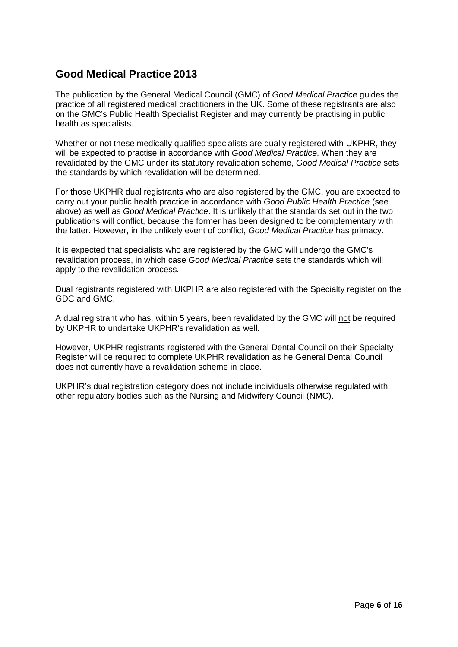# **Good Medical Practice 2013**

The publication by the General Medical Council (GMC) of *Good Medical Practice* guides the practice of all registered medical practitioners in the UK. Some of these registrants are also on the GMC's Public Health Specialist Register and may currently be practising in public health as specialists.

Whether or not these medically qualified specialists are dually registered with UKPHR, they will be expected to practise in accordance with *Good Medical Practice*. When they are revalidated by the GMC under its statutory revalidation scheme, *Good Medical Practice* sets the standards by which revalidation will be determined.

For those UKPHR dual registrants who are also registered by the GMC, you are expected to carry out your public health practice in accordance with *Good Public Health Practice* (see above) as well as *Good Medical Practice*. It is unlikely that the standards set out in the two publications will conflict, because the former has been designed to be complementary with the latter. However, in the unlikely event of conflict, *Good Medical Practice* has primacy.

It is expected that specialists who are registered by the GMC will undergo the GMC's revalidation process, in which case *Good Medical Practice* sets the standards which will apply to the revalidation process.

Dual registrants registered with UKPHR are also registered with the Specialty register on the GDC and GMC.

A dual registrant who has, within 5 years, been revalidated by the GMC will not be required by UKPHR to undertake UKPHR's revalidation as well.

However, UKPHR registrants registered with the General Dental Council on their Specialty Register will be required to complete UKPHR revalidation as he General Dental Council does not currently have a revalidation scheme in place.

UKPHR's dual registration category does not include individuals otherwise regulated with other regulatory bodies such as the Nursing and Midwifery Council (NMC).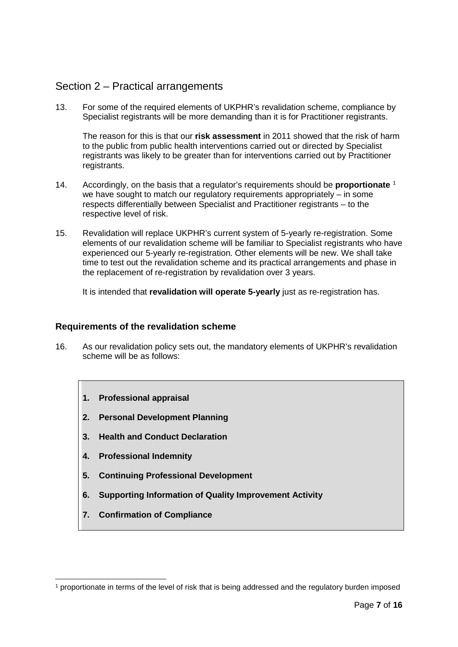## Section 2 – Practical arrangements

13. For some of the required elements of UKPHR's revalidation scheme, compliance by Specialist registrants will be more demanding than it is for Practitioner registrants.

The reason for this is that our **risk assessment** in 2011 showed that the risk of harm to the public from public health interventions carried out or directed by Specialist registrants was likely to be greater than for interventions carried out by Practitioner registrants.

- 14. Accordingly, on the basis that a regulator's requirements should be **proportionate** [1](#page-6-0) we have sought to match our regulatory requirements appropriately – in some respects differentially between Specialist and Practitioner registrants – to the respective level of risk.
- 15. Revalidation will replace UKPHR's current system of 5-yearly re-registration. Some elements of our revalidation scheme will be familiar to Specialist registrants who have experienced our 5-yearly re-registration. Other elements will be new. We shall take time to test out the revalidation scheme and its practical arrangements and phase in the replacement of re-registration by revalidation over 3 years.

It is intended that **revalidation will operate 5-yearly** just as re-registration has.

#### **Requirements of the revalidation scheme**

- 16. As our revalidation policy sets out, the mandatory elements of UKPHR's revalidation scheme will be as follows:
	- **1. Professional appraisal**
	- **2. Personal Development Planning**
	- **3. Health and Conduct Declaration**
	- **4. Professional Indemnity**
	- **5. Continuing Professional Development**
	- **6. Supporting Information of Quality Improvement Activity**
	- **7. Confirmation of Compliance**

<span id="page-6-0"></span> <sup>1</sup> proportionate in terms of the level of risk that is being addressed and the regulatory burden imposed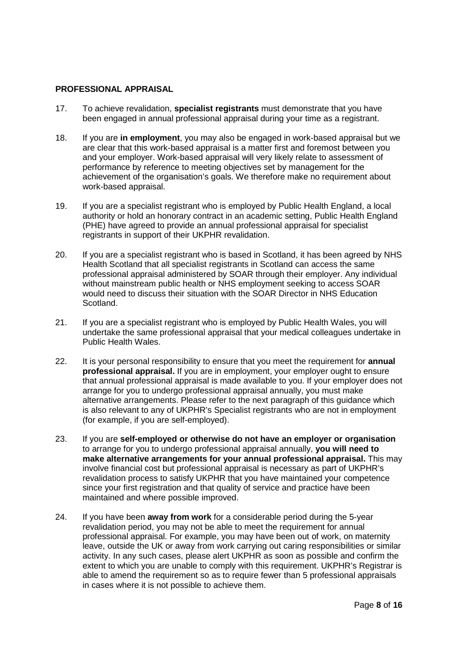#### **PROFESSIONAL APPRAISAL**

- 17. To achieve revalidation, **specialist registrants** must demonstrate that you have been engaged in annual professional appraisal during your time as a registrant.
- 18. If you are **in employment**, you may also be engaged in work-based appraisal but we are clear that this work-based appraisal is a matter first and foremost between you and your employer. Work-based appraisal will very likely relate to assessment of performance by reference to meeting objectives set by management for the achievement of the organisation's goals. We therefore make no requirement about work-based appraisal.
- 19. If you are a specialist registrant who is employed by Public Health England, a local authority or hold an honorary contract in an academic setting, Public Health England (PHE) have agreed to provide an annual professional appraisal for specialist registrants in support of their UKPHR revalidation.
- 20. If you are a specialist registrant who is based in Scotland, it has been agreed by NHS Health Scotland that all specialist registrants in Scotland can access the same professional appraisal administered by SOAR through their employer. Any individual without mainstream public health or NHS employment seeking to access SOAR would need to discuss their situation with the SOAR Director in NHS Education Scotland.
- 21. If you are a specialist registrant who is employed by Public Health Wales, you will undertake the same professional appraisal that your medical colleagues undertake in Public Health Wales.
- 22. It is your personal responsibility to ensure that you meet the requirement for **annual professional appraisal.** If you are in employment, your employer ought to ensure that annual professional appraisal is made available to you. If your employer does not arrange for you to undergo professional appraisal annually, you must make alternative arrangements. Please refer to the next paragraph of this guidance which is also relevant to any of UKPHR's Specialist registrants who are not in employment (for example, if you are self-employed).
- 23. If you are **self-employed or otherwise do not have an employer or organisation**  to arrange for you to undergo professional appraisal annually, **you will need to make alternative arrangements for your annual professional appraisal.** This may involve financial cost but professional appraisal is necessary as part of UKPHR's revalidation process to satisfy UKPHR that you have maintained your competence since your first registration and that quality of service and practice have been maintained and where possible improved.
- 24. If you have been **away from work** for a considerable period during the 5-year revalidation period, you may not be able to meet the requirement for annual professional appraisal. For example, you may have been out of work, on maternity leave, outside the UK or away from work carrying out caring responsibilities or similar activity. In any such cases, please alert UKPHR as soon as possible and confirm the extent to which you are unable to comply with this requirement. UKPHR's Registrar is able to amend the requirement so as to require fewer than 5 professional appraisals in cases where it is not possible to achieve them.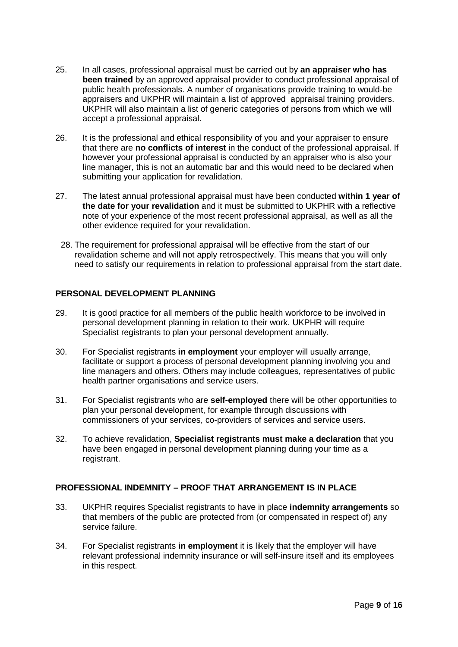- 25. In all cases, professional appraisal must be carried out by **an appraiser who has been trained** by an approved appraisal provider to conduct professional appraisal of public health professionals. A number of organisations provide training to would-be appraisers and UKPHR will maintain a list of approved appraisal training providers. UKPHR will also maintain a list of generic categories of persons from which we will accept a professional appraisal.
- 26. It is the professional and ethical responsibility of you and your appraiser to ensure that there are **no conflicts of interest** in the conduct of the professional appraisal. If however your professional appraisal is conducted by an appraiser who is also your line manager, this is not an automatic bar and this would need to be declared when submitting your application for revalidation.
- 27. The latest annual professional appraisal must have been conducted **within 1 year of the date for your revalidation** and it must be submitted to UKPHR with a reflective note of your experience of the most recent professional appraisal, as well as all the other evidence required for your revalidation.
- 28. The requirement for professional appraisal will be effective from the start of our revalidation scheme and will not apply retrospectively. This means that you will only need to satisfy our requirements in relation to professional appraisal from the start date.

#### **PERSONAL DEVELOPMENT PLANNING**

- 29. It is good practice for all members of the public health workforce to be involved in personal development planning in relation to their work. UKPHR will require Specialist registrants to plan your personal development annually.
- 30. For Specialist registrants **in employment** your employer will usually arrange, facilitate or support a process of personal development planning involving you and line managers and others. Others may include colleagues, representatives of public health partner organisations and service users.
- 31. For Specialist registrants who are **self-employed** there will be other opportunities to plan your personal development, for example through discussions with commissioners of your services, co-providers of services and service users.
- 32. To achieve revalidation, **Specialist registrants must make a declaration** that you have been engaged in personal development planning during your time as a registrant.

### **PROFESSIONAL INDEMNITY – PROOF THAT ARRANGEMENT IS IN PLACE**

- 33. UKPHR requires Specialist registrants to have in place **indemnity arrangements** so that members of the public are protected from (or compensated in respect of) any service failure.
- 34. For Specialist registrants **in employment** it is likely that the employer will have relevant professional indemnity insurance or will self-insure itself and its employees in this respect.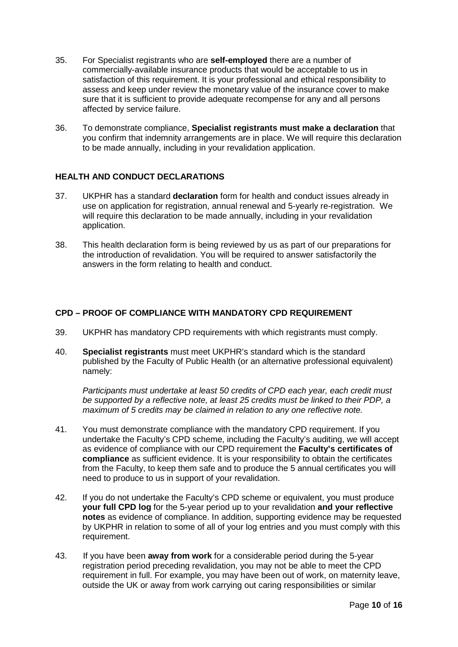- 35. For Specialist registrants who are **self-employed** there are a number of commercially-available insurance products that would be acceptable to us in satisfaction of this requirement. It is your professional and ethical responsibility to assess and keep under review the monetary value of the insurance cover to make sure that it is sufficient to provide adequate recompense for any and all persons affected by service failure.
- 36. To demonstrate compliance, **Specialist registrants must make a declaration** that you confirm that indemnity arrangements are in place. We will require this declaration to be made annually, including in your revalidation application.

#### **HEALTH AND CONDUCT DECLARATIONS**

- 37. UKPHR has a standard **declaration** form for health and conduct issues already in use on application for registration, annual renewal and 5-yearly re-registration. We will require this declaration to be made annually, including in your revalidation application.
- 38. This health declaration form is being reviewed by us as part of our preparations for the introduction of revalidation. You will be required to answer satisfactorily the answers in the form relating to health and conduct.

## **CPD – PROOF OF COMPLIANCE WITH MANDATORY CPD REQUIREMENT**

- 39. UKPHR has mandatory CPD requirements with which registrants must comply.
- 40. **Specialist registrants** must meet UKPHR's standard which is the standard published by the Faculty of Public Health (or an alternative professional equivalent) namely:

*Participants must undertake at least 50 credits of CPD each year, each credit must be supported by a reflective note, at least 25 credits must be linked to their PDP, a maximum of 5 credits may be claimed in relation to any one reflective note.*

- 41. You must demonstrate compliance with the mandatory CPD requirement. If you undertake the Faculty's CPD scheme, including the Faculty's auditing, we will accept as evidence of compliance with our CPD requirement the **Faculty's certificates of compliance** as sufficient evidence. It is your responsibility to obtain the certificates from the Faculty, to keep them safe and to produce the 5 annual certificates you will need to produce to us in support of your revalidation.
- 42. If you do not undertake the Faculty's CPD scheme or equivalent, you must produce **your full CPD log** for the 5-year period up to your revalidation **and your reflective notes** as evidence of compliance. In addition, supporting evidence may be requested by UKPHR in relation to some of all of your log entries and you must comply with this requirement.
- 43. If you have been **away from work** for a considerable period during the 5-year registration period preceding revalidation, you may not be able to meet the CPD requirement in full. For example, you may have been out of work, on maternity leave, outside the UK or away from work carrying out caring responsibilities or similar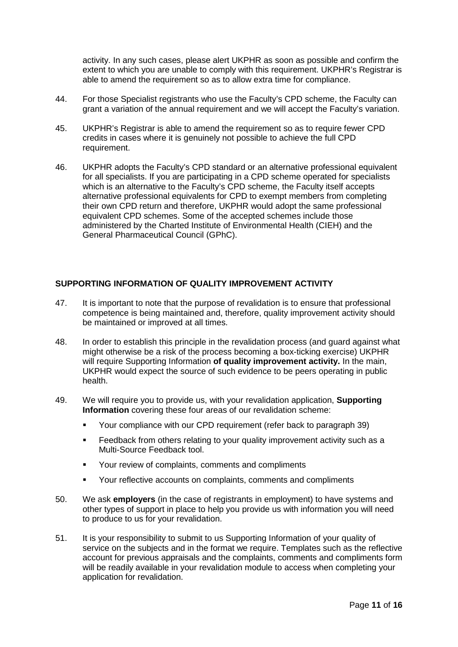activity. In any such cases, please alert UKPHR as soon as possible and confirm the extent to which you are unable to comply with this requirement. UKPHR's Registrar is able to amend the requirement so as to allow extra time for compliance.

- 44. For those Specialist registrants who use the Faculty's CPD scheme, the Faculty can grant a variation of the annual requirement and we will accept the Faculty's variation.
- 45. UKPHR's Registrar is able to amend the requirement so as to require fewer CPD credits in cases where it is genuinely not possible to achieve the full CPD requirement.
- 46. UKPHR adopts the Faculty's CPD standard or an alternative professional equivalent for all specialists. If you are participating in a CPD scheme operated for specialists which is an alternative to the Faculty's CPD scheme, the Faculty itself accepts alternative professional equivalents for CPD to exempt members from completing their own CPD return and therefore, UKPHR would adopt the same professional equivalent CPD schemes. Some of the accepted schemes include those administered by the Charted Institute of Environmental Health (CIEH) and the General Pharmaceutical Council (GPhC).

#### **SUPPORTING INFORMATION OF QUALITY IMPROVEMENT ACTIVITY**

- 47. It is important to note that the purpose of revalidation is to ensure that professional competence is being maintained and, therefore, quality improvement activity should be maintained or improved at all times.
- 48. In order to establish this principle in the revalidation process (and guard against what might otherwise be a risk of the process becoming a box-ticking exercise) UKPHR will require Supporting Information **of quality improvement activity.** In the main, UKPHR would expect the source of such evidence to be peers operating in public health.
- 49. We will require you to provide us, with your revalidation application, **Supporting Information** covering these four areas of our revalidation scheme:
	- Your compliance with our CPD requirement (refer back to paragraph 39)
	- **Feedback from others relating to your quality improvement activity such as a** Multi-Source Feedback tool.
	- Your review of complaints, comments and compliments
	- Your reflective accounts on complaints, comments and compliments
- 50. We ask **employers** (in the case of registrants in employment) to have systems and other types of support in place to help you provide us with information you will need to produce to us for your revalidation.
- 51. It is your responsibility to submit to us Supporting Information of your quality of service on the subjects and in the format we require. Templates such as the reflective account for previous appraisals and the complaints, comments and compliments form will be readily available in your revalidation module to access when completing your application for revalidation.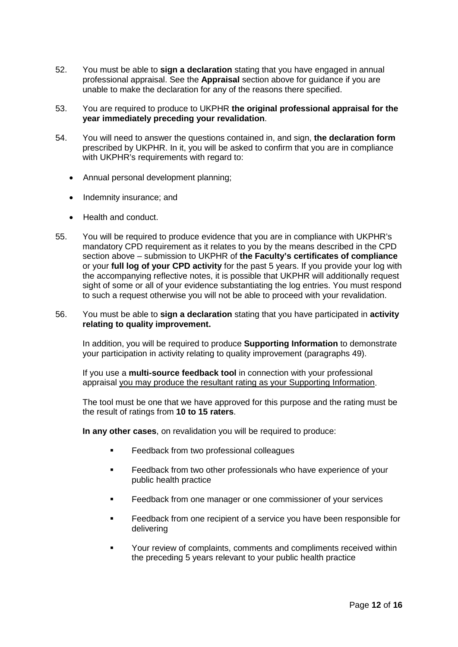- 52. You must be able to **sign a declaration** stating that you have engaged in annual professional appraisal. See the **Appraisal** section above for guidance if you are unable to make the declaration for any of the reasons there specified.
- 53. You are required to produce to UKPHR **the original professional appraisal for the year immediately preceding your revalidation**.
- 54. You will need to answer the questions contained in, and sign, **the declaration form** prescribed by UKPHR. In it, you will be asked to confirm that you are in compliance with UKPHR's requirements with regard to:
	- Annual personal development planning;
	- Indemnity insurance; and
	- Health and conduct.
- 55. You will be required to produce evidence that you are in compliance with UKPHR's mandatory CPD requirement as it relates to you by the means described in the CPD section above – submission to UKPHR of **the Faculty's certificates of compliance** or your **full log of your CPD activity** for the past 5 years. If you provide your log with the accompanying reflective notes, it is possible that UKPHR will additionally request sight of some or all of your evidence substantiating the log entries. You must respond to such a request otherwise you will not be able to proceed with your revalidation.

#### 56. You must be able to **sign a declaration** stating that you have participated in **activity relating to quality improvement.**

In addition, you will be required to produce **Supporting Information** to demonstrate your participation in activity relating to quality improvement (paragraphs 49).

If you use a **multi-source feedback tool** in connection with your professional appraisal you may produce the resultant rating as your Supporting Information.

The tool must be one that we have approved for this purpose and the rating must be the result of ratings from **10 to 15 raters**.

**In any other cases**, on revalidation you will be required to produce:

- **Feedback from two professional colleagues**
- Feedback from two other professionals who have experience of your public health practice
- **Feedback from one manager or one commissioner of your services**
- **Feedback from one recipient of a service you have been responsible for** delivering
- Your review of complaints, comments and compliments received within the preceding 5 years relevant to your public health practice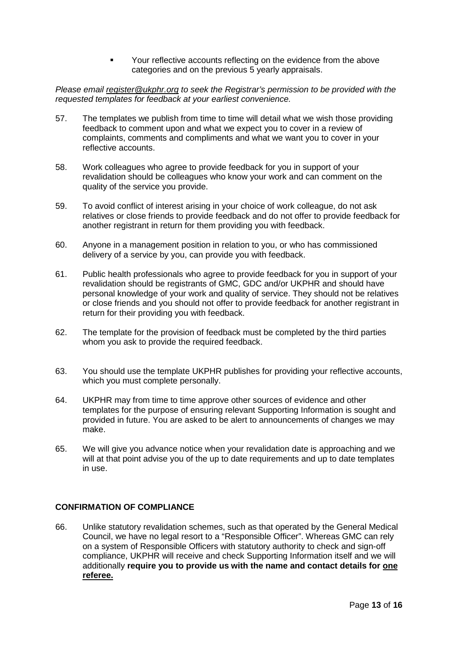Your reflective accounts reflecting on the evidence from the above categories and on the previous 5 yearly appraisals.

*Please email [register@ukphr.org](mailto:register@ukphr.org) to seek the Registrar's permission to be provided with the requested templates for feedback at your earliest convenience.*

- 57. The templates we publish from time to time will detail what we wish those providing feedback to comment upon and what we expect you to cover in a review of complaints, comments and compliments and what we want you to cover in your reflective accounts.
- 58. Work colleagues who agree to provide feedback for you in support of your revalidation should be colleagues who know your work and can comment on the quality of the service you provide.
- 59. To avoid conflict of interest arising in your choice of work colleague, do not ask relatives or close friends to provide feedback and do not offer to provide feedback for another registrant in return for them providing you with feedback.
- 60. Anyone in a management position in relation to you, or who has commissioned delivery of a service by you, can provide you with feedback.
- 61. Public health professionals who agree to provide feedback for you in support of your revalidation should be registrants of GMC, GDC and/or UKPHR and should have personal knowledge of your work and quality of service. They should not be relatives or close friends and you should not offer to provide feedback for another registrant in return for their providing you with feedback.
- 62. The template for the provision of feedback must be completed by the third parties whom you ask to provide the required feedback.
- 63. You should use the template UKPHR publishes for providing your reflective accounts, which you must complete personally.
- 64. UKPHR may from time to time approve other sources of evidence and other templates for the purpose of ensuring relevant Supporting Information is sought and provided in future. You are asked to be alert to announcements of changes we may make.
- 65. We will give you advance notice when your revalidation date is approaching and we will at that point advise you of the up to date requirements and up to date templates in use.

#### **CONFIRMATION OF COMPLIANCE**

66. Unlike statutory revalidation schemes, such as that operated by the General Medical Council, we have no legal resort to a "Responsible Officer". Whereas GMC can rely on a system of Responsible Officers with statutory authority to check and sign-off compliance, UKPHR will receive and check Supporting Information itself and we will additionally **require you to provide us with the name and contact details for one referee.**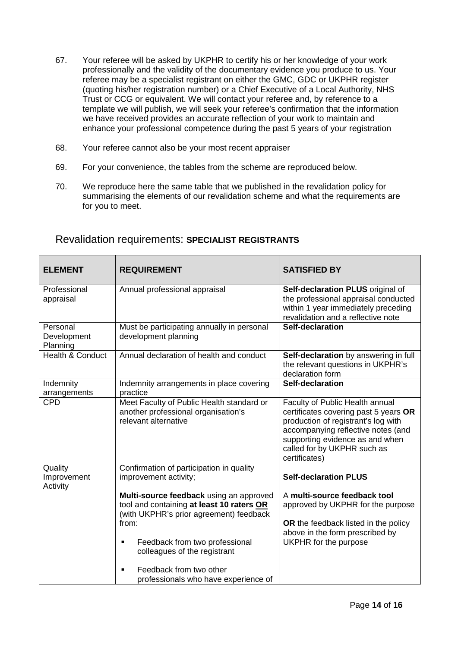- 67. Your referee will be asked by UKPHR to certify his or her knowledge of your work professionally and the validity of the documentary evidence you produce to us. Your referee may be a specialist registrant on either the GMC, GDC or UKPHR register (quoting his/her registration number) or a Chief Executive of a Local Authority, NHS Trust or CCG or equivalent. We will contact your referee and, by reference to a template we will publish, we will seek your referee's confirmation that the information we have received provides an accurate reflection of your work to maintain and enhance your professional competence during the past 5 years of your registration
- 68. Your referee cannot also be your most recent appraiser
- 69. For your convenience, the tables from the scheme are reproduced below.
- 70. We reproduce here the same table that we published in the revalidation policy for summarising the elements of our revalidation scheme and what the requirements are for you to meet.

| <b>ELEMENT</b>                      | <b>REQUIREMENT</b>                                                                                                                       | <b>SATISFIED BY</b>                                                                                                                                                                                                                      |
|-------------------------------------|------------------------------------------------------------------------------------------------------------------------------------------|------------------------------------------------------------------------------------------------------------------------------------------------------------------------------------------------------------------------------------------|
| Professional<br>appraisal           | Annual professional appraisal                                                                                                            | Self-declaration PLUS original of<br>the professional appraisal conducted<br>within 1 year immediately preceding<br>revalidation and a reflective note                                                                                   |
| Personal<br>Development<br>Planning | Must be participating annually in personal<br>development planning                                                                       | Self-declaration                                                                                                                                                                                                                         |
| <b>Health &amp; Conduct</b>         | Annual declaration of health and conduct                                                                                                 | Self-declaration by answering in full<br>the relevant questions in UKPHR's<br>declaration form                                                                                                                                           |
| Indemnity<br>arrangements           | Indemnity arrangements in place covering<br>practice                                                                                     | Self-declaration                                                                                                                                                                                                                         |
| <b>CPD</b>                          | Meet Faculty of Public Health standard or<br>another professional organisation's<br>relevant alternative                                 | Faculty of Public Health annual<br>certificates covering past 5 years OR<br>production of registrant's log with<br>accompanying reflective notes (and<br>supporting evidence as and when<br>called for by UKPHR such as<br>certificates) |
| Quality<br>Improvement<br>Activity  | Confirmation of participation in quality<br>improvement activity;                                                                        | <b>Self-declaration PLUS</b>                                                                                                                                                                                                             |
|                                     | Multi-source feedback using an approved<br>tool and containing at least 10 raters OR<br>(with UKPHR's prior agreement) feedback<br>from: | A multi-source feedback tool<br>approved by UKPHR for the purpose<br>OR the feedback listed in the policy<br>above in the form prescribed by                                                                                             |
|                                     | Feedback from two professional<br>٠<br>colleagues of the registrant                                                                      | UKPHR for the purpose                                                                                                                                                                                                                    |
|                                     | Feedback from two other<br>professionals who have experience of                                                                          |                                                                                                                                                                                                                                          |

## Revalidation requirements: **SPECIALIST REGISTRANTS**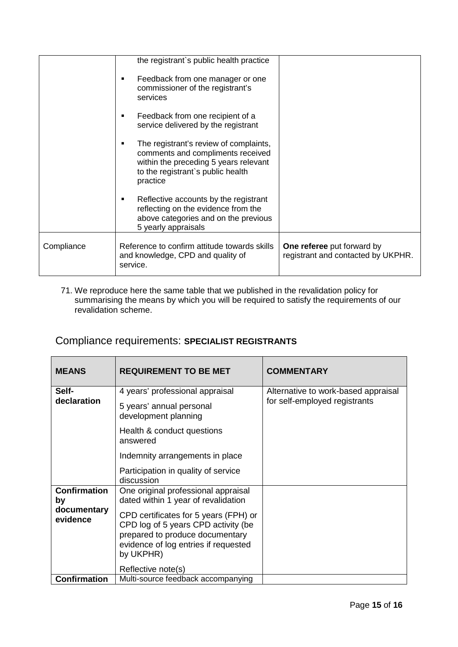|            | the registrant's public health practice                                                                                                                                    |                                                                         |
|------------|----------------------------------------------------------------------------------------------------------------------------------------------------------------------------|-------------------------------------------------------------------------|
|            | Feedback from one manager or one<br>٠<br>commissioner of the registrant's<br>services                                                                                      |                                                                         |
|            | Feedback from one recipient of a<br>٠<br>service delivered by the registrant                                                                                               |                                                                         |
|            | The registrant's review of complaints,<br>٠<br>comments and compliments received<br>within the preceding 5 years relevant<br>to the registrant's public health<br>practice |                                                                         |
|            | Reflective accounts by the registrant<br>٠<br>reflecting on the evidence from the<br>above categories and on the previous<br>5 yearly appraisals                           |                                                                         |
| Compliance | Reference to confirm attitude towards skills<br>and knowledge, CPD and quality of<br>service.                                                                              | <b>One referee</b> put forward by<br>registrant and contacted by UKPHR. |

71. We reproduce here the same table that we published in the revalidation policy for summarising the means by which you will be required to satisfy the requirements of our revalidation scheme.

# Compliance requirements: **SPECIALIST REGISTRANTS**

| <b>MEANS</b>                                         | <b>REQUIREMENT TO BE MET</b>                                                                                                                                                                                                                                             | <b>COMMENTARY</b>                                                    |
|------------------------------------------------------|--------------------------------------------------------------------------------------------------------------------------------------------------------------------------------------------------------------------------------------------------------------------------|----------------------------------------------------------------------|
| Self-<br>declaration                                 | 4 years' professional appraisal<br>5 years' annual personal<br>development planning<br>Health & conduct questions<br>answered                                                                                                                                            | Alternative to work-based appraisal<br>for self-employed registrants |
|                                                      | Indemnity arrangements in place<br>Participation in quality of service<br>discussion                                                                                                                                                                                     |                                                                      |
| <b>Confirmation</b><br>by<br>documentary<br>evidence | One original professional appraisal<br>dated within 1 year of revalidation<br>CPD certificates for 5 years (FPH) or<br>CPD log of 5 years CPD activity (be<br>prepared to produce documentary<br>evidence of log entries if requested<br>by UKPHR)<br>Reflective note(s) |                                                                      |
| <b>Confirmation</b>                                  | Multi-source feedback accompanying                                                                                                                                                                                                                                       |                                                                      |